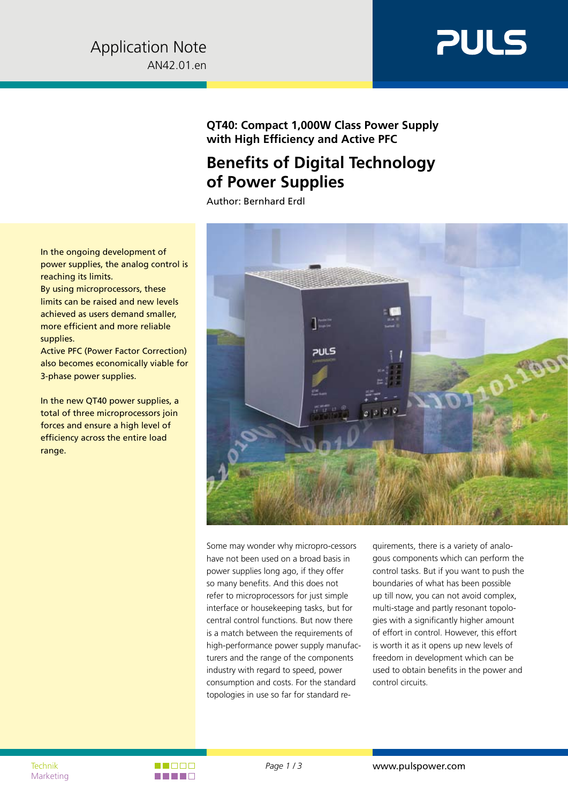

# **QT40: Compact 1,000W Class Power Supply with High Efficiency and Active PFC**

# **Benefits of Digital Technology of Power Supplies**

Author: Bernhard Erdl



Some may wonder why micropro-cessors have not been used on a broad basis in power supplies long ago, if they offer so many benefits. And this does not refer to microprocessors for just simple interface or housekeeping tasks, but for central control functions. But now there is a match between the requirements of high-performance power supply manufacturers and the range of the components industry with regard to speed, power consumption and costs. For the standard topologies in use so far for standard re-

quirements, there is a variety of analogous components which can perform the control tasks. But if you want to push the boundaries of what has been possible up till now, you can not avoid complex, multi-stage and partly resonant topologies with a significantly higher amount of effort in control. However, this effort is worth it as it opens up new levels of freedom in development which can be used to obtain benefits in the power and control circuits.

In the ongoing development of power supplies, the analog control is reaching its limits.

By using microprocessors, these limits can be raised and new levels achieved as users demand smaller, more efficient and more reliable supplies.

Active PFC (Power Factor Correction) also becomes economically viable for 3-phase power supplies.

In the new QT40 power supplies, a total of three microprocessors join forces and ensure a high level of efficiency across the entire load range.

Marketing

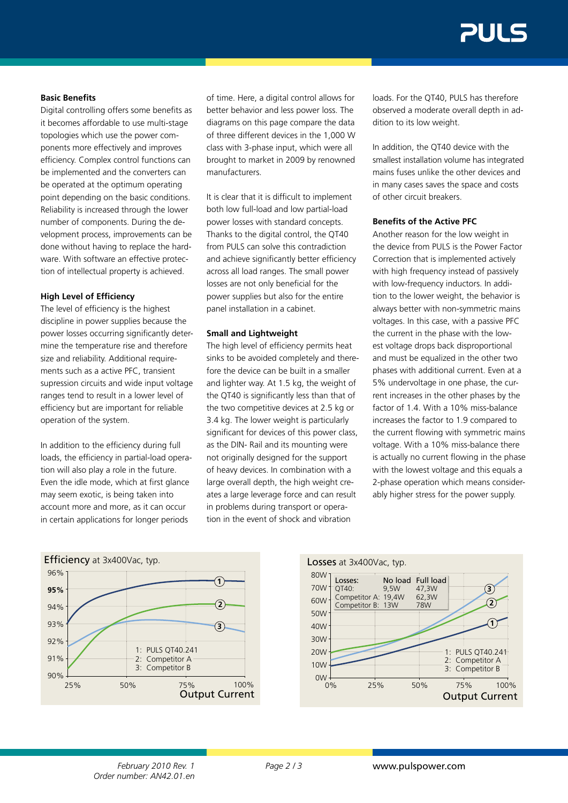# **Basic Benefits**

Digital controlling offers some benefits as it becomes affordable to use multi-stage topologies which use the power components more effectively and improves efficiency. Complex control functions can be implemented and the converters can be operated at the optimum operating point depending on the basic conditions. Reliability is increased through the lower number of components. During the development process, improvements can be done without having to replace the hardware. With software an effective protection of intellectual property is achieved.

#### **High Level of Efficiency**

The level of efficiency is the highest discipline in power supplies because the power losses occurring significantly determine the temperature rise and therefore size and reliability. Additional requirements such as a active PFC, transient supression circuits and wide input voltage ranges tend to result in a lower level of efficiency but are important for reliable operation of the system.

In addition to the efficiency during full loads, the efficiency in partial-load operation will also play a role in the future. Even the idle mode, which at first glance may seem exotic, is being taken into account more and more, as it can occur in certain applications for longer periods

of time. Here, a digital control allows for better behavior and less power loss. The diagrams on this page compare the data of three different devices in the 1,000 W class with 3-phase input, which were all brought to market in 2009 by renowned manufacturers.

It is clear that it is difficult to implement both low full-load and low partial-load power losses with standard concepts. Thanks to the digital control, the QT40 from PULS can solve this contradiction and achieve significantly better efficiency across all load ranges. The small power losses are not only beneficial for the power supplies but also for the entire panel installation in a cabinet.

# **Small and Lightweight**

The high level of efficiency permits heat sinks to be avoided completely and therefore the device can be built in a smaller and lighter way. At 1.5 kg, the weight of the OT40 is significantly less than that of the two competitive devices at 2.5 kg or 3.4 kg. The lower weight is particularly significant for devices of this power class, as the DIN- Rail and its mounting were not originally designed for the support of heavy devices. In combination with a large overall depth, the high weight creates a large leverage force and can result in problems during transport or operation in the event of shock and vibration

loads. For the QT40, PULS has therefore observed a moderate overall depth in addition to its low weight.

In addition, the QT40 device with the smallest installation volume has integrated mains fuses unlike the other devices and in many cases saves the space and costs of other circuit breakers.

#### **Benefits of the Active PFC**

Another reason for the low weight in the device from PULS is the Power Factor Correction that is implemented actively with high frequency instead of passively with low-frequency inductors. In addition to the lower weight, the behavior is always better with non-symmetric mains voltages. In this case, with a passive PFC the current in the phase with the lowest voltage drops back disproportional and must be equalized in the other two phases with additional current. Even at a 5% undervoltage in one phase, the current increases in the other phases by the factor of 1.4. With a 10% miss-balance increases the factor to 1.9 compared to the current flowing with symmetric mains voltage. With a 10% miss-balance there is actually no current flowing in the phase with the lowest voltage and this equals a 2-phase operation which means considerably higher stress for the power supply.